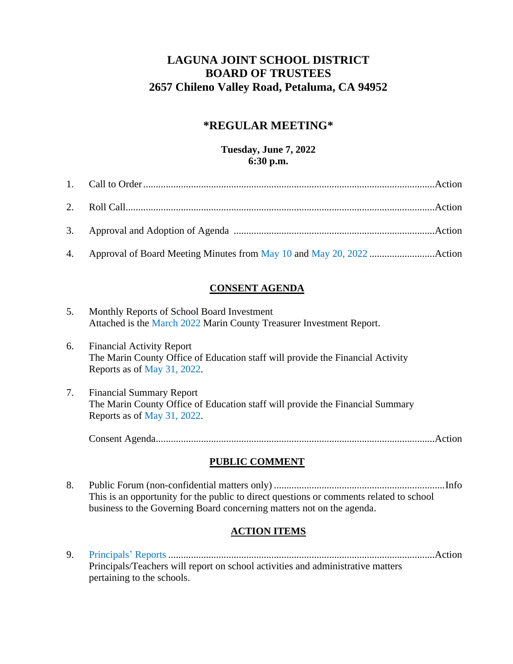# **LAGUNA JOINT SCHOOL DISTRICT BOARD OF TRUSTEES 2657 Chileno Valley Road, Petaluma, CA 94952**

# **\*REGULAR MEETING\***

#### **Tuesday, June 7, 2022 6:30 p.m.**

## **CONSENT AGENDA**

- 5. Monthly Reports of School Board Investment Attached is the [March](https://www.marinschools.org/cms/lib/CA01001323/Centricity/Domain/2347/5.%20Monthly%20Investment%20Report%20March.pdf) 2022 Marin County Treasurer Investment Report.
- 6. Financial Activity Report The Marin County Office of Education staff will provide the Financial Activity Reports as of [May 31, 2022.](https://www.marinschools.org/cms/lib/CA01001323/Centricity/Domain/2347/6.%20Financial%20Activity%20Report%205-1%20to%205-31.pdf)
- 7. Financial Summary Report The Marin County Office of Education staff will provide the Financial Summary Reports as of [May 31, 2022.](https://www.marinschools.org/cms/lib/CA01001323/Centricity/Domain/2347/7.%20Financial%20Summary%20Report%205-1%20to%205-31.pdf)

Consent Agenda...............................................................................................................Action

### **PUBLIC COMMENT**

8. Public Forum (non-confidential matters only) ....................................................................Info This is an opportunity for the public to direct questions or comments related to school business to the Governing Board concerning matters not on the agenda.

### **ACTION ITEMS**

9. [Principals'](https://www.marinschools.org/cms/lib/CA01001323/Centricity/Domain/2347/Principal%20Report%20Lincoln%20June%202022.pdf) Reports ..........................................................................................................Action Principals/Teachers will report on school activities and administrative matters pertaining to the schools.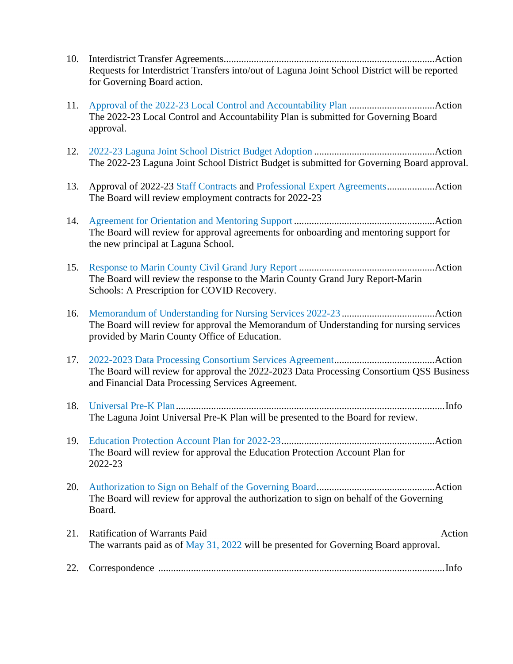- 10. Interdistrict Transfer Agreements....................................................................................Action Requests for Interdistrict Transfers into/out of Laguna Joint School District will be reported for Governing Board action.
- 11. Approval [of the 2022-23 Local Control and Accountability Plan](https://www.marinschools.org/cms/lib/CA01001323/Centricity/Domain/2347/11.%20LCAP.pdf) ..................................Action The 2022-23 Local Control and Accountability Plan is submitted for Governing Board approval.
- 12. [2022-23 Laguna Joint School District Budget Adoption](https://www.marinschools.org/cms/lib/CA01001323/Centricity/Domain/2347/12.%20Laguna%20-%202022-23%20Budget%20Adoption%20Board%20Documents.pdf) ................................................Action The 2022-23 Laguna Joint School District Budget is submitted for Governing Board approval.
- 13. Approval of 2022-23 [Staff Contracts](https://www.marinschools.org/cms/lib/CA01001323/Centricity/Domain/2347/13.%2022-23%20STAFF%20CONTRACTS.pdf) and [Professional Expert Agreements.](https://www.marinschools.org/cms/lib/CA01001323/Centricity/Domain/2347/13.%2022-23%20PEA%20Contracts.pdf)..................Action The Board will review employment contracts for 2022-23
- 14. Agreement for Orientation [and Mentoring Support](https://www.marinschools.org/cms/lib/CA01001323/Centricity/Domain/2347/14.%20Mentoring%20-%20All.pdf) ........................................................Action The Board will review for approval agreements for onboarding and mentoring support for the new principal at Laguna School.
- 15. [Response to Marin County Civil Grand Jury](https://www.marinschools.org/cms/lib/CA01001323/Centricity/Domain/2347/15.%20Response%20to%20Grand%20Jury%20Report.pdf) Report ......................................................Action The Board will review the response to the Marin County Grand Jury Report-Marin Schools: A Prescription for COVID Recovery.
- 16. [Memorandum of Understanding](https://www.marinschools.org/cms/lib/CA01001323/Centricity/Domain/2347/16.%20Memorandum%20of%20Understanding.pdf) for Nursing Services 2022-23 .....................................Action The Board will review for approval the Memorandum of Understanding for nursing services provided by Marin County Office of Education.
- 17. 2022-2023 [Data Processing Consortium Services Agreement.](https://www.marinschools.org/cms/lib/CA01001323/Centricity/Domain/2347/18.%20UPK.pdf).......................................Action The Board will review for approval the 2022-2023 Data Processing Consortium QSS Business and Financial Data Processing Services Agreement.
- 18. [Universal Pre-K Plan.](https://www.marinschools.org/cms/lib/CA01001323/Centricity/Domain/2347/18.%20UPK.pdf)..........................................................................................................Info The Laguna Joint Universal Pre-K Plan will be presented to the Board for review.
- 19. [Education Protection Account Plan for 2022-23.](https://www.marinschools.org/cms/lib/CA01001323/Centricity/Domain/2347/19.%20Laguna%20EPA%20Resolution%202022-23.pdf)............................................................Action The Board will review for approval the Education Protection Account Plan for 2022-23
- 20. Authorization to Sign [on Behalf of the Governing Board.](https://www.marinschools.org/cms/lib/CA01001323/Centricity/Domain/2347/20.%20Authorization%20to%20Sign.pdf)..............................................Action The Board will review for approval the authorization to sign on behalf of the Governing Board.
- 21. Ratification of Warrants Paid **Action** Action The warrants paid as of [May 31, 2022](https://www.marinschools.org/cms/lib/CA01001323/Centricity/Domain/2347/21.%20Warrants%205-4%20to%205-31.pdf) will be presented for Governing Board approval.
- 22. Correspondence ..................................................................................................................Info